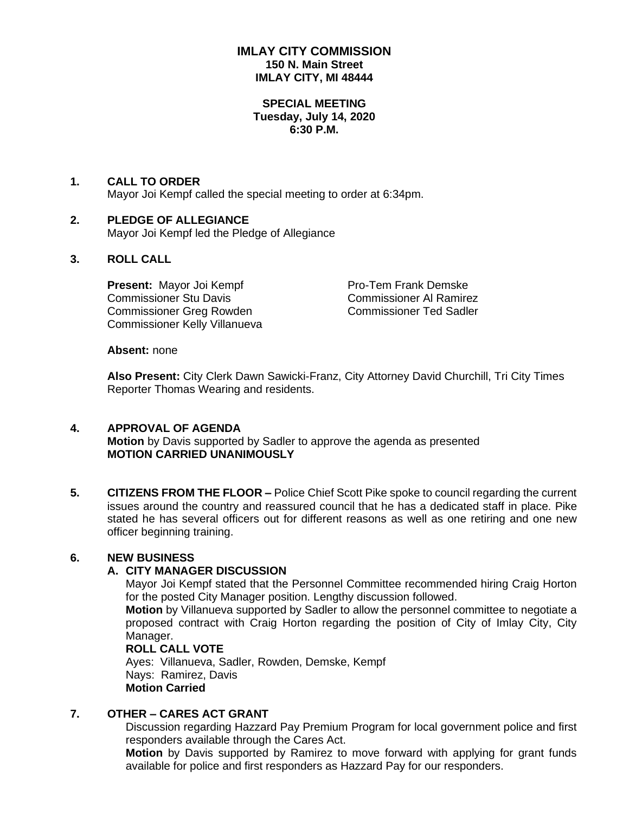# **IMLAY CITY COMMISSION 150 N. Main Street IMLAY CITY, MI 48444**

### **SPECIAL MEETING Tuesday, July 14, 2020 6:30 P.M.**

#### **1. CALL TO ORDER**

Mayor Joi Kempf called the special meeting to order at 6:34pm.

## **2. PLEDGE OF ALLEGIANCE**

Mayor Joi Kempf led the Pledge of Allegiance

# **3. ROLL CALL**

**Present:** Mayor Joi Kempf Pro-Tem Frank Demske Commissioner Stu Davis Commissioner Al Ramirez Commissioner Greg Rowden Commissioner Ted Sadler Commissioner Kelly Villanueva

#### **Absent:** none

**Also Present:** City Clerk Dawn Sawicki-Franz, City Attorney David Churchill, Tri City Times Reporter Thomas Wearing and residents.

### **4. APPROVAL OF AGENDA**

**Motion** by Davis supported by Sadler to approve the agenda as presented **MOTION CARRIED UNANIMOUSLY**

**5. CITIZENS FROM THE FLOOR –** Police Chief Scott Pike spoke to council regarding the current issues around the country and reassured council that he has a dedicated staff in place. Pike stated he has several officers out for different reasons as well as one retiring and one new officer beginning training.

### **6. NEW BUSINESS**

### **A. CITY MANAGER DISCUSSION**

Mayor Joi Kempf stated that the Personnel Committee recommended hiring Craig Horton for the posted City Manager position. Lengthy discussion followed.

**Motion** by Villanueva supported by Sadler to allow the personnel committee to negotiate a proposed contract with Craig Horton regarding the position of City of Imlay City, City Manager.

## **ROLL CALL VOTE**

Ayes: Villanueva, Sadler, Rowden, Demske, Kempf Nays: Ramirez, Davis **Motion Carried**

### **7. OTHER – CARES ACT GRANT**

Discussion regarding Hazzard Pay Premium Program for local government police and first responders available through the Cares Act.

**Motion** by Davis supported by Ramirez to move forward with applying for grant funds available for police and first responders as Hazzard Pay for our responders.